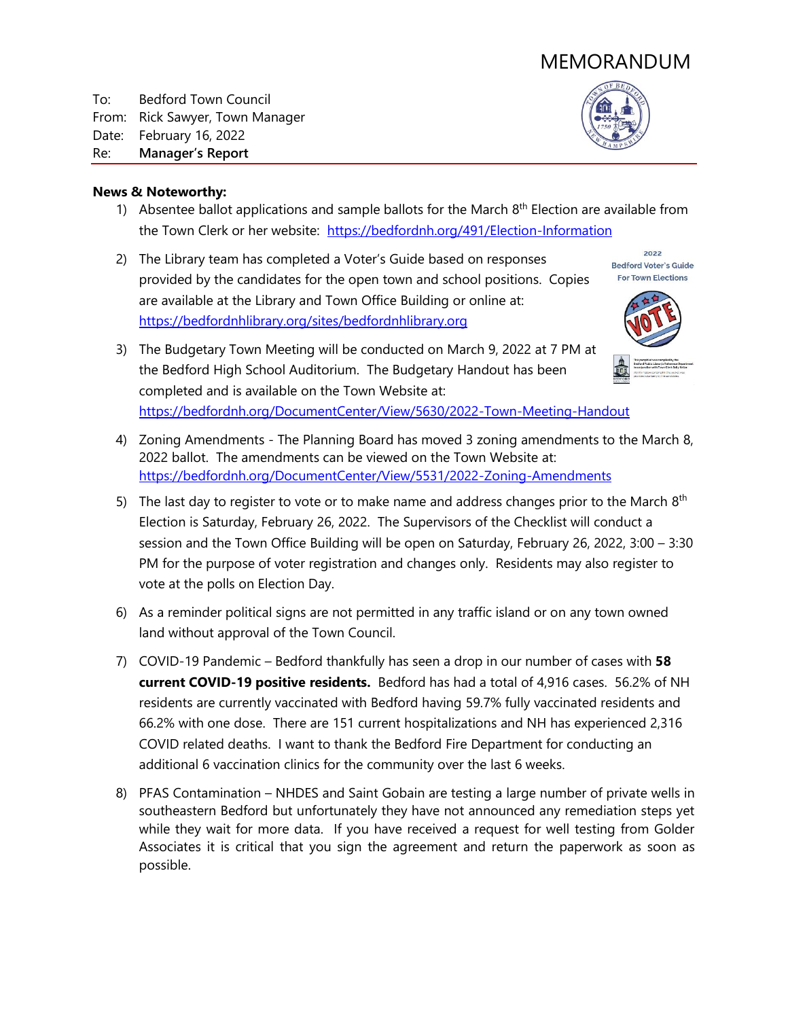# MEMORANDUM

To: Bedford Town Council From: Rick Sawyer, Town Manager Date: February 16, 2022 Re: **Manager's Report**



#### **News & Noteworthy:**

- 1) Absentee ballot applications and sample ballots for the March  $8<sup>th</sup>$  Election are available from the Town Clerk or her website: <https://bedfordnh.org/491/Election-Information>
- 2) The Library team has completed a Voter's Guide based on responses provided by the candidates for the open town and school positions. Copies are available at the Library and Town Office Building or online at: [https://bedfordnhlibrary.org/sites/bedfordnhlibrary.org](https://bedfordnhlibrary.org/sites/bedfordnhlibrary.org/files/attachments/2022BedfordVotersGuide.pdf#overlay-context=bedford-voters-guide-town-elections)



2022 **Bedford Voter's Guide For Town Elections** 

- 3) The Budgetary Town Meeting will be conducted on March 9, 2022 at 7 PM at the Bedford High School Auditorium. The Budgetary Handout has been completed and is available on the Town Website at: <https://bedfordnh.org/DocumentCenter/View/5630/2022-Town-Meeting-Handout>
- 4) Zoning Amendments The Planning Board has moved 3 zoning amendments to the March 8, 2022 ballot. The amendments can be viewed on the Town Website at: [https://bedfordnh.org/DocumentCenter/View/5531/2022-Zoning-Amendments](https://bedfordnh.org/DocumentCenter/View/5531/2022-Zoning-Amendments---FINAL-Legal-Notice-and-Full-Text?bidId)
- 5) The last day to register to vote or to make name and address changes prior to the March  $8<sup>th</sup>$ Election is Saturday, February 26, 2022. The Supervisors of the Checklist will conduct a session and the Town Office Building will be open on Saturday, February 26, 2022, 3:00 – 3:30 PM for the purpose of voter registration and changes only. Residents may also register to vote at the polls on Election Day.
- 6) As a reminder political signs are not permitted in any traffic island or on any town owned land without approval of the Town Council.
- 7) COVID-19 Pandemic Bedford thankfully has seen a drop in our number of cases with **58 current COVID-19 positive residents.** Bedford has had a total of 4,916 cases. 56.2% of NH residents are currently vaccinated with Bedford having 59.7% fully vaccinated residents and 66.2% with one dose. There are 151 current hospitalizations and NH has experienced 2,316 COVID related deaths. I want to thank the Bedford Fire Department for conducting an additional 6 vaccination clinics for the community over the last 6 weeks.
- 8) PFAS Contamination NHDES and Saint Gobain are testing a large number of private wells in southeastern Bedford but unfortunately they have not announced any remediation steps yet while they wait for more data. If you have received a request for well testing from Golder Associates it is critical that you sign the agreement and return the paperwork as soon as possible.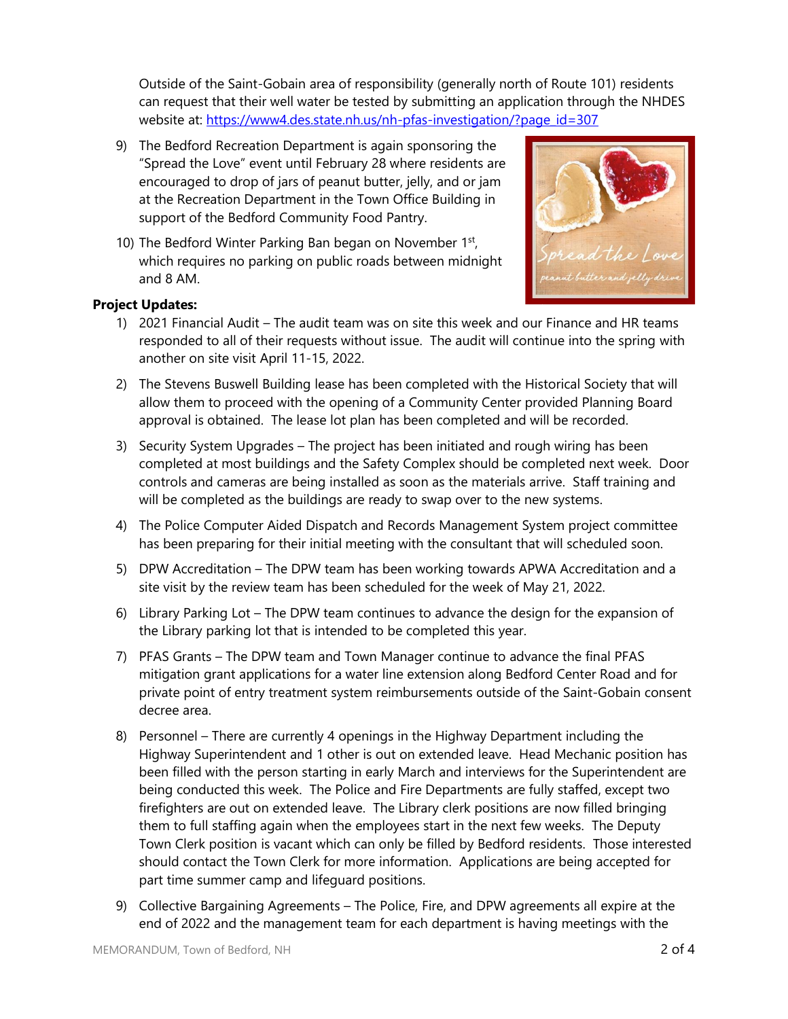Outside of the Saint-Gobain area of responsibility (generally north of Route 101) residents can request that their well water be tested by submitting an application through the NHDES website at: [https://www4.des.state.nh.us/nh-pfas-investigation/?page\\_id=307](https://www4.des.state.nh.us/nh-pfas-investigation/?page_id=307)

- 9) The Bedford Recreation Department is again sponsoring the "Spread the Love" event until February 28 where residents are encouraged to drop of jars of peanut butter, jelly, and or jam at the Recreation Department in the Town Office Building in support of the Bedford Community Food Pantry.
- 10) The Bedford Winter Parking Ban began on November 1st, which requires no parking on public roads between midnight and 8 AM.



## **Project Updates:**

- 1) 2021 Financial Audit The audit team was on site this week and our Finance and HR teams responded to all of their requests without issue. The audit will continue into the spring with another on site visit April 11-15, 2022.
- 2) The Stevens Buswell Building lease has been completed with the Historical Society that will allow them to proceed with the opening of a Community Center provided Planning Board approval is obtained. The lease lot plan has been completed and will be recorded.
- 3) Security System Upgrades The project has been initiated and rough wiring has been completed at most buildings and the Safety Complex should be completed next week. Door controls and cameras are being installed as soon as the materials arrive. Staff training and will be completed as the buildings are ready to swap over to the new systems.
- 4) The Police Computer Aided Dispatch and Records Management System project committee has been preparing for their initial meeting with the consultant that will scheduled soon.
- 5) DPW Accreditation The DPW team has been working towards APWA Accreditation and a site visit by the review team has been scheduled for the week of May 21, 2022.
- 6) Library Parking Lot The DPW team continues to advance the design for the expansion of the Library parking lot that is intended to be completed this year.
- 7) PFAS Grants The DPW team and Town Manager continue to advance the final PFAS mitigation grant applications for a water line extension along Bedford Center Road and for private point of entry treatment system reimbursements outside of the Saint-Gobain consent decree area.
- 8) Personnel There are currently 4 openings in the Highway Department including the Highway Superintendent and 1 other is out on extended leave. Head Mechanic position has been filled with the person starting in early March and interviews for the Superintendent are being conducted this week. The Police and Fire Departments are fully staffed, except two firefighters are out on extended leave. The Library clerk positions are now filled bringing them to full staffing again when the employees start in the next few weeks. The Deputy Town Clerk position is vacant which can only be filled by Bedford residents. Those interested should contact the Town Clerk for more information. Applications are being accepted for part time summer camp and lifeguard positions.
- 9) Collective Bargaining Agreements The Police, Fire, and DPW agreements all expire at the end of 2022 and the management team for each department is having meetings with the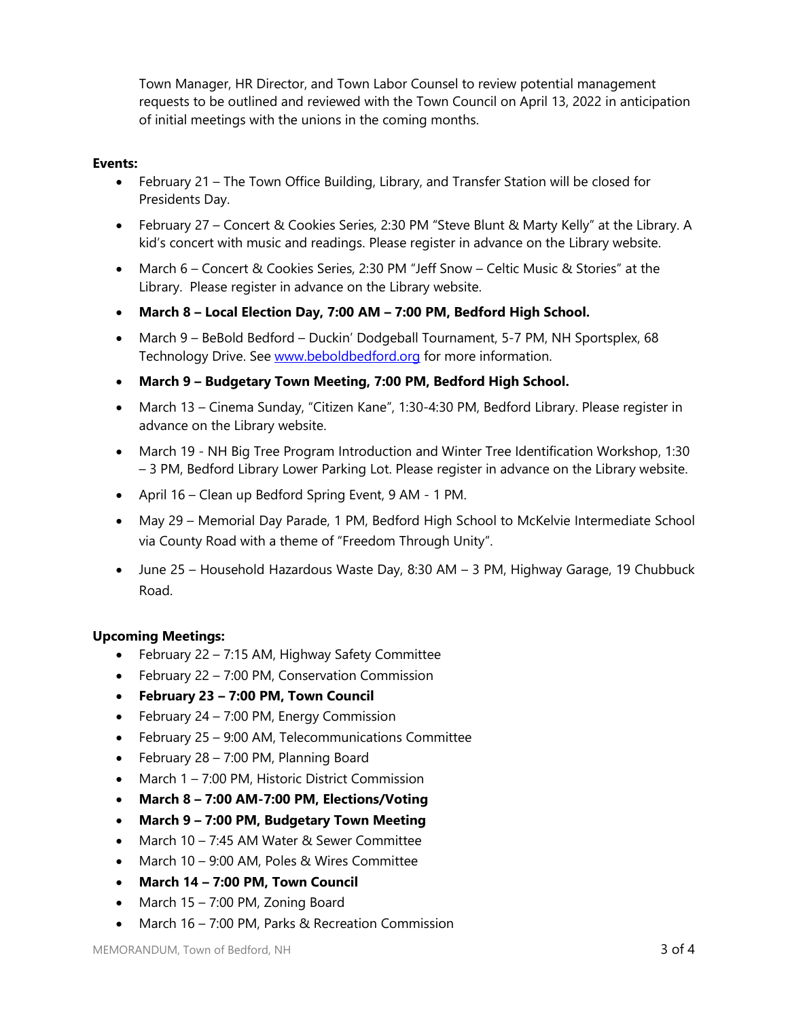Town Manager, HR Director, and Town Labor Counsel to review potential management requests to be outlined and reviewed with the Town Council on April 13, 2022 in anticipation of initial meetings with the unions in the coming months.

#### **Events:**

- February 21 The Town Office Building, Library, and Transfer Station will be closed for Presidents Day.
- February 27 Concert & Cookies Series, 2:30 PM "Steve Blunt & Marty Kelly" at the Library. A kid's concert with music and readings. Please register in advance on the Library website.
- March 6 Concert & Cookies Series, 2:30 PM "Jeff Snow Celtic Music & Stories" at the Library. Please register in advance on the Library website.
- **March 8 – Local Election Day, 7:00 AM – 7:00 PM, Bedford High School.**
- March 9 BeBold Bedford Duckin' Dodgeball Tournament, 5-7 PM, NH Sportsplex, 68 Technology Drive. See [www.beboldbedford.org](http://www.beboldbedford.org/) for more information.
- **March 9 – Budgetary Town Meeting, 7:00 PM, Bedford High School.**
- March 13 Cinema Sunday, "Citizen Kane", 1:30-4:30 PM, Bedford Library. Please register in advance on the Library website.
- March 19 NH Big Tree Program Introduction and Winter Tree Identification Workshop, 1:30 – 3 PM, Bedford Library Lower Parking Lot. Please register in advance on the Library website.
- April 16 Clean up Bedford Spring Event, 9 AM 1 PM.
- May 29 Memorial Day Parade, 1 PM, Bedford High School to McKelvie Intermediate School via County Road with a theme of "Freedom Through Unity".
- June 25 Household Hazardous Waste Day, 8:30 AM 3 PM, Highway Garage, 19 Chubbuck Road.

## **Upcoming Meetings:**

- February 22 7:15 AM, Highway Safety Committee
- February 22 7:00 PM, Conservation Commission
- **February 23 – 7:00 PM, Town Council**
- February  $24 7:00$  PM, Energy Commission
- February 25 9:00 AM, Telecommunications Committee
- $\bullet$  February 28 7:00 PM, Planning Board
- March 1 7:00 PM, Historic District Commission
- **March 8 – 7:00 AM-7:00 PM, Elections/Voting**
- **March 9 – 7:00 PM, Budgetary Town Meeting**
- March 10 7:45 AM Water & Sewer Committee
- March 10 9:00 AM, Poles & Wires Committee
- **March 14 – 7:00 PM, Town Council**
- $\bullet$  March 15 7:00 PM, Zoning Board
- March 16 7:00 PM, Parks & Recreation Commission